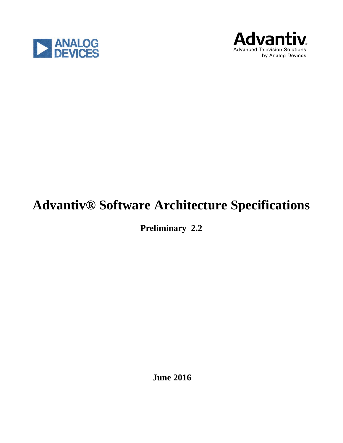



# **Advantiv® Software Architecture Specifications**

**Preliminary 2.2**

**June 2016**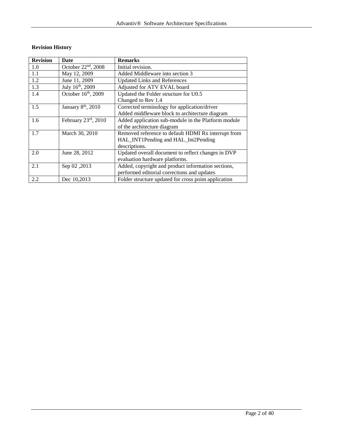# **Revision History**

| <b>Revision</b> | <b>Date</b>                     | <b>Remarks</b>                                       |  |
|-----------------|---------------------------------|------------------------------------------------------|--|
| 1.0             | October 22 <sup>nd</sup> , 2008 | Initial revision.                                    |  |
| 1.1             | May 12, 2009                    | Added Middleware into section 3                      |  |
| 1.2             | June 11, 2009                   | <b>Updated Links and References</b>                  |  |
| 1.3             | July 16th, 2009                 | Adjusted for ATV EVAL board                          |  |
| 1.4             | October 16th, 2009              | Updated the Folder structure for U0.5                |  |
|                 |                                 | Changed to Rev 1.4                                   |  |
| 1.5             | January $8th$ , 2010            | Corrected terminology for application/driver         |  |
|                 |                                 | Added middleware block to architecture diagram       |  |
| 1.6             | February 23rd, 2010             | Added application sub-module in the Platform module  |  |
|                 |                                 | of the architecture diagram                          |  |
| 1.7             | March 30, 2010                  | Removed reference to default HDMI Rx interrupt from  |  |
|                 |                                 | HAL_INT1Pending and HAL_Int2Pending                  |  |
|                 |                                 | descriptions.                                        |  |
| 2.0             | June 28, 2012                   | Updated overall document to reflect changes in DVP   |  |
|                 |                                 | evaluation hardware platforms.                       |  |
| 2.1             | Sep 02,2013                     | Added, copyright and product information sections,   |  |
|                 |                                 | performed editorial corrections and updates          |  |
| 2.2             | Dec 10,2013                     | Folder structure updated for cross point application |  |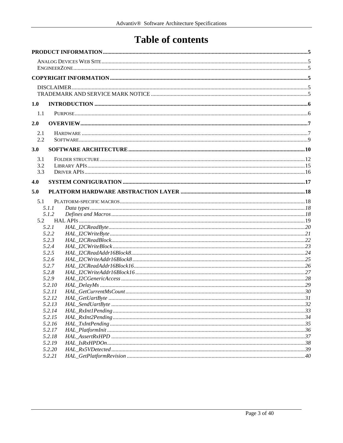# **Table of contents**

| 1.0 |                  |  |
|-----|------------------|--|
| 1.1 |                  |  |
| 2.0 |                  |  |
| 2.1 |                  |  |
| 2.2 |                  |  |
| 3.0 |                  |  |
| 3.1 |                  |  |
| 3.2 |                  |  |
| 3.3 |                  |  |
| 4.0 |                  |  |
| 5.0 |                  |  |
|     |                  |  |
| 5.1 |                  |  |
|     | 5.1.1<br>5.1.2   |  |
| 5.2 |                  |  |
|     | 5.2.1            |  |
|     | 5.2.2            |  |
|     | 5.2.3            |  |
|     | 5.2.4            |  |
|     | 5.2.5            |  |
|     | 5.2.6            |  |
|     | 5.2.7            |  |
|     | 5.2.8            |  |
|     | 5.2.9<br>5.2.10  |  |
|     | 5.2.11           |  |
|     | 5.2.12           |  |
|     | 5.2.13           |  |
|     | 5.2.14           |  |
|     | 5.2.15           |  |
|     | 5.2.16           |  |
|     | 5.2.17           |  |
|     | 5.2.18           |  |
|     | 5.2.19           |  |
|     | 5.2.20<br>5.2.21 |  |
|     |                  |  |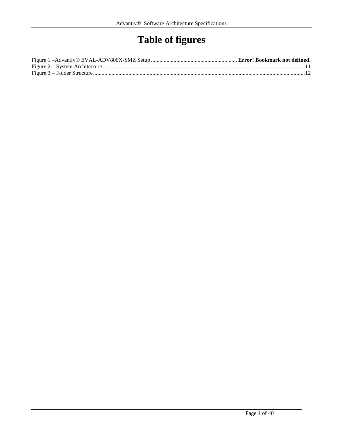# **Table of figures**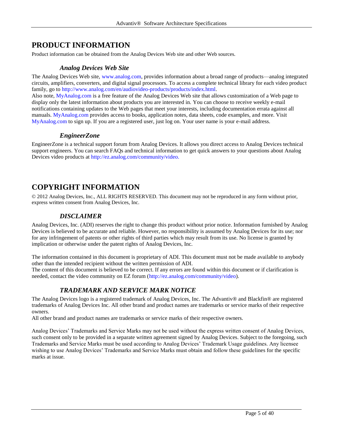# <span id="page-4-0"></span>**PRODUCT INFORMATION**

<span id="page-4-1"></span>Product information can be obtained from the Analog Devices Web site and other Web sources.

#### *Analog Devices Web Site*

The Analog Devices Web site, www.analog.com, provides information about a broad range of products—analog integrated circuits, amplifiers, converters, and digital signal processors. To access a complete technical library for each video product family, go to http://www.analog.com/en/audiovideo-products/products/index.html.

Also note, MyAnalog.com is a free feature of the Analog Devices Web site that allows customization of a Web page to display only the latest information about products you are interested in. You can choose to receive weekly e-mail notifications containing updates to the Web pages that meet your interests, including documentation errata against all manuals. MyAnalog.com provides access to books, application notes, data sheets, code examples, and more. Visit MyAnalog.com to sign up. If you are a registered user, just log on. Your user name is your e-mail address.

### *EngineerZone*

<span id="page-4-2"></span>EngineerZone is a technical support forum from Analog Devices. It allows you direct access to Analog Devices technical support engineers. You can search FAQs and technical information to get quick answers to your questions about Analog Devices video products at http://ez.analog.com/community/video.

# <span id="page-4-3"></span>**COPYRIGHT INFORMATION**

<span id="page-4-4"></span>© 2012 Analog Devices, Inc., ALL RIGHTS RESERVED. This document may not be reproduced in any form without prior, express written consent from Analog Devices, Inc.

## *DISCLAIMER*

Analog Devices, Inc. (ADI) reserves the right to change this product without prior notice. Information furnished by Analog Devices is believed to be accurate and reliable. However, no responsibility is assumed by Analog Devices for its use; nor for any infringement of patents or other rights of third parties which may result from its use. No license is granted by implication or otherwise under the patent rights of Analog Devices, Inc.

The information contained in this document is proprietary of ADI. This document must not be made available to anybody other than the intended recipient without the written permission of ADI.

<span id="page-4-5"></span>The content of this document is believed to be correct. If any errors are found within this document or if clarification is needed, contact the video community on EZ forum (http://ez.analog.com/community/video).

# *TRADEMARK AND SERVICE MARK NOTICE*

The Analog Devices logo is a registered trademark of Analog Devices, Inc. The Advantiv® and Blackfin® are registered trademarks of Analog Devices Inc. All other brand and product names are trademarks or service marks of their respective owners.

All other brand and product names are trademarks or service marks of their respective owners.

Analog Devices' Trademarks and Service Marks may not be used without the express written consent of Analog Devices, such consent only to be provided in a separate written agreement signed by Analog Devices. Subject to the foregoing, such Trademarks and Service Marks must be used according to Analog Devices' Trademark Usage guidelines. Any licensee wishing to use Analog Devices' Trademarks and Service Marks must obtain and follow these guidelines for the specific marks at issue.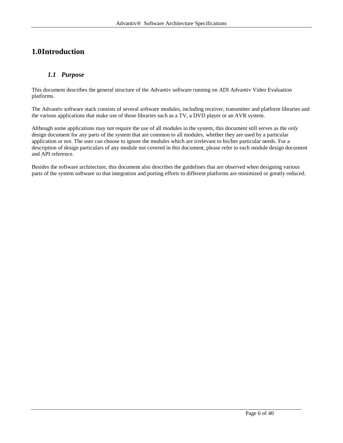# <span id="page-5-0"></span>**1.0Introduction**

# <span id="page-5-1"></span>*1.1 Purpose*

This document describes the general structure of the Advantiv software running on ADI Advantiv Video Evaluation platforms.

The Advantiv software stack consists of several software modules, including receiver, transmitter and platform libraries and the various applications that make use of those libraries such as a TV, a DVD player or an AVR system.

Although some applications may not require the use of all modules in the system, this document still serves as the *only* design document for any parts of the system that are common to all modules, whether they are used by a particular application or not. The user can choose to ignore the modules which are irrelevant to his/her particular needs. For a description of design particulars of any module not covered in this document, please refer to each module design document and API reference.

Besides the software architecture, this document also describes the guidelines that are observed when designing various parts of the system software so that integration and porting efforts to different platforms are minimized or greatly reduced.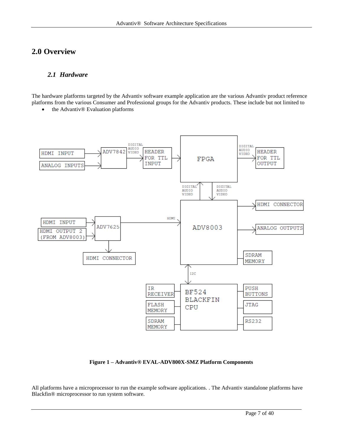# <span id="page-6-1"></span><span id="page-6-0"></span>**2.0 Overview**

### *2.1 Hardware*

The hardware platforms targeted by the Advantiv software example application are the various Advantiv product reference platforms from the various Consumer and Professional groups for the Advantiv products. These include but not limited to

• the Advantiv® Evaluation platforms



**Figure 1 – Advantiv® EVAL-ADV800X-SMZ Platform Components**

All platforms have a microprocessor to run the example software applications. . The Advantiv standalone platforms have Blackfin® microprocessor to run system software.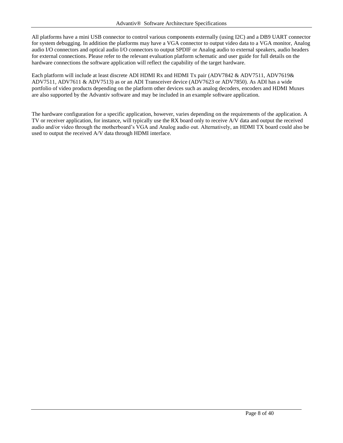All platforms have a mini USB connector to control various components externally (using I2C) and a DB9 UART connector for system debugging. In addition the platforms may have a VGA connector to output video data to a VGA monitor, Analog audio I/O connectors and optical audio I/O connectors to output SPDIF or Analog audio to external speakers, audio headers for external connections. Please refer to the relevant evaluation platform schematic and user guide for full details on the hardware connections the software application will reflect the capability of the target hardware.

Each platform will include at least discrete ADI HDMI Rx and HDMI Tx pair (ADV7842 & ADV7511, ADV7619& ADV7511, ADV7611 & ADV7513) as or an ADI Transceiver device (ADV7623 or ADV7850). As ADI has a wide portfolio of video products depending on the platform other devices such as analog decoders, encoders and HDMI Muxes are also supported by the Advantiv software and may be included in an example software application.

The hardware configuration for a specific application, however, varies depending on the requirements of the application. A TV or receiver application, for instance, will typically use the RX board only to receive A/V data and output the received audio and/or video through the motherboard's VGA and Analog audio out. Alternatively, an HDMI TX board could also be used to output the received A/V data through HDMI interface.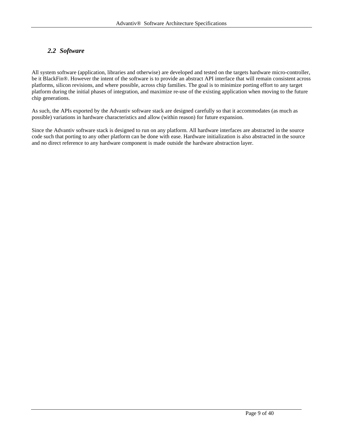## <span id="page-8-0"></span>*2.2 Software*

All system software (application, libraries and otherwise) are developed and tested on the targets hardware micro-controller, be it BlackFin®. However the intent of the software is to provide an abstract API interface that will remain consistent across platforms, silicon revisions, and where possible, across chip families. The goal is to minimize porting effort to any target platform during the initial phases of integration, and maximize re-use of the existing application when moving to the future chip generations.

As such, the APIs exported by the Advantiv software stack are designed carefully so that it accommodates (as much as possible) variations in hardware characteristics and allow (within reason) for future expansion.

Since the Advantiv software stack is designed to run on any platform. All hardware interfaces are abstracted in the source code such that porting to any other platform can be done with ease. Hardware initialization is also abstracted in the source and no direct reference to any hardware component is made outside the hardware abstraction layer.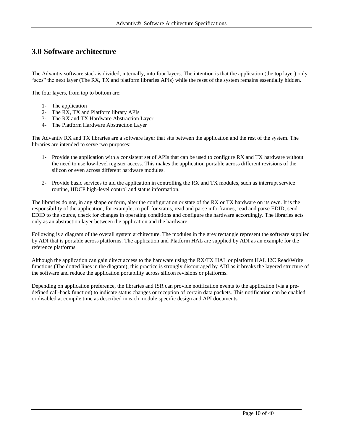# <span id="page-9-0"></span>**3.0 Software architecture**

The Advantiv software stack is divided, internally, into four layers. The intention is that the application (the top layer) only "sees" the next layer (The RX, TX and platform libraries APIs) while the reset of the system remains essentially hidden.

The four layers, from top to bottom are:

- 1- The application
- 2- The RX, TX and Platform library APIs
- 3- The RX and TX Hardware Abstraction Layer
- 4- The Platform Hardware Abstraction Layer

The Advantiv RX and TX libraries are a software layer that sits between the application and the rest of the system. The libraries are intended to serve two purposes:

- 1- Provide the application with a consistent set of APIs that can be used to configure RX and TX hardware without the need to use low-level register access. This makes the application portable across different revisions of the silicon or even across different hardware modules.
- 2- Provide basic services to aid the application in controlling the RX and TX modules, such as interrupt service routine, HDCP high-level control and status information.

The libraries do not, in any shape or form, alter the configuration or state of the RX or TX hardware on its own. It is the responsibility of the application, for example, to poll for status, read and parse info-frames, read and parse EDID, send EDID to the source, check for changes in operating conditions and configure the hardware accordingly. The libraries acts only as an abstraction layer between the application and the hardware.

Following is a diagram of the overall system architecture. The modules in the grey rectangle represent the software supplied by ADI that is portable across platforms. The application and Platform HAL are supplied by ADI as an example for the reference platforms.

Although the application can gain direct access to the hardware using the RX/TX HAL or platform HAL I2C Read/Write functions (The dotted lines in the diagram), this practice is strongly discouraged by ADI as it breaks the layered structure of the software and reduce the application portability across silicon revisions or platforms.

Depending on application preference, the libraries and ISR can provide notification events to the application (via a predefined call-back function) to indicate status changes or reception of certain data packets. This notification can be enabled or disabled at compile time as described in each module specific design and API documents.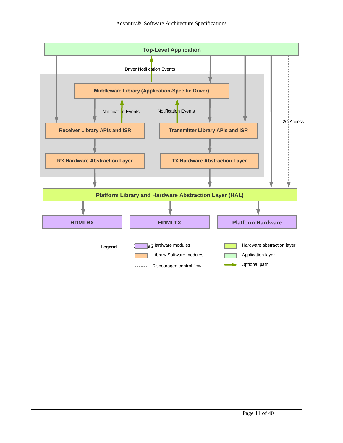<span id="page-10-0"></span>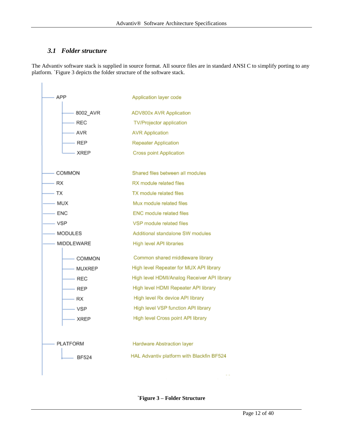# <span id="page-11-0"></span>*3.1 Folder structure*

The Advantiv software stack is supplied in source format. All source files are in standard ANSI C to simplify porting to any platform. [`Figure](#page-11-1) 3 depicts the folder structure of the software stack.



<span id="page-11-1"></span>**`Figure 3 – Folder Structure**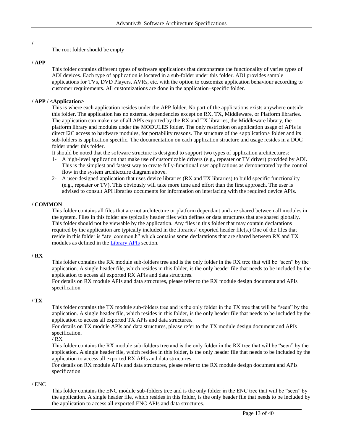#### **/**

The root folder should be empty

#### **/ APP**

This folder contains different types of software applications that demonstrate the functionality of varies types of ADI devices. Each type of application is located in a sub-folder under this folder. ADI provides sample applications for TVs, DVD Players, AVRs, etc. with the option to customize application behaviour according to customer requirements. All customizations are done in the application–specific folder.

#### **/ APP / <Application>**

This is where each application resides under the APP folder. No part of the applications exists anywhere outside this folder. The application has no external dependencies except on RX, TX, Middleware, or Platform libraries. The application can make use of all APIs exported by the RX and TX libraries, the Middleware library, the platform library and modules under the MODULES folder. The only restriction on application usage of APIs is direct I2C access to hardware modules, for portability reasons. The structure of the <application> folder and its sub-folders is application specific. The documentation on each application structure and usage resides in a DOC folder under this folder.

It should be noted that the software structure is designed to support two types of application architectures:

- 1- A high-level application that make use of customizable drivers (e.g., repeater or TV driver) provided by ADI. This is the simplest and fastest way to create fully-functional user applications as demonstrated by the control flow in the system architecture diagram above.
- 2- A user-designed application that uses device libraries (RX and TX libraries) to build specific functionality (e.g., repeater or TV). This obviously will take more time and effort than the first approach. The user is advised to consult API libraries documents for information on interfacing with the required device APIs.

#### **/ COMMON**

This folder contains all files that are not architecture or platform dependant and are shared between all modules in the system. Files in this folder are typically header files with defines or data structures that are shared globally. This folder should not be viewable by the application. Any files in this folder that may contain declarations required by the application are typically included in the libraries' exported header file(s.) One of the files that reside in this folder is "atv\_common.h" which contains some declarations that are shared between RX and TX modules as defined in the [Library APIs](#page-14-0) section.

#### **/ RX**

This folder contains the RX module sub-folders tree and is the only folder in the RX tree that will be "seen" by the application. A single header file, which resides in this folder, is the only header file that needs to be included by the application to access all exported RX APIs and data structures.

For details on RX module APIs and data structures, please refer to the RX module design document and APIs specification

#### **/ TX**

This folder contains the TX module sub-folders tree and is the only folder in the TX tree that will be "seen" by the application. A single header file, which resides in this folder, is the only header file that needs to be included by the application to access all exported TX APIs and data structures.

For details on TX module APIs and data structures, please refer to the TX module design document and APIs specification.

 $/ RX$ 

This folder contains the RX module sub-folders tree and is the only folder in the RX tree that will be "seen" by the application. A single header file, which resides in this folder, is the only header file that needs to be included by the application to access all exported RX APIs and data structures.

For details on RX module APIs and data structures, please refer to the RX module design document and APIs specification

#### / ENC

This folder contains the ENC module sub-folders tree and is the only folder in the ENC tree that will be "seen" by the application. A single header file, which resides in this folder, is the only header file that needs to be included by the application to access all exported ENC APIs and data structures.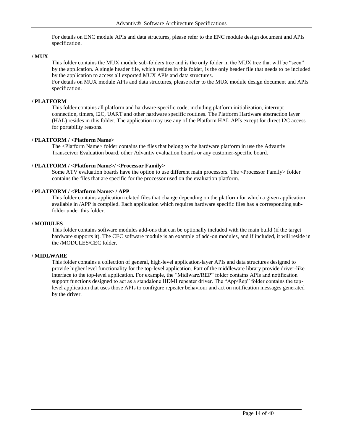For details on ENC module APIs and data structures, please refer to the ENC module design document and APIs specification.

#### **/ MUX**

This folder contains the MUX module sub-folders tree and is the only folder in the MUX tree that will be "seen" by the application. A single header file, which resides in this folder, is the only header file that needs to be included by the application to access all exported MUX APIs and data structures.

For details on MUX module APIs and data structures, please refer to the MUX module design document and APIs specification.

#### **/ PLATFORM**

This folder contains all platform and hardware-specific code; including platform initialization, interrupt connection, timers, I2C, UART and other hardware specific routines. The Platform Hardware abstraction layer (HAL) resides in this folder. The application may use any of the Platform HAL APIs except for direct I2C access for portability reasons.

#### **/ PLATFORM / <Platform Name>**

The <Platform Name> folder contains the files that belong to the hardware platform in use the Advantiv Transceiver Evaluation board, other Advantiv evaluation boards or any customer-specific board.

#### **/ PLATFORM / <Platform Name>/ <Processor Family>**

Some ATV evaluation boards have the option to use different main processors. The <Processor Family> folder contains the files that are specific for the processor used on the evaluation platform.

#### **/ PLATFORM / <Platform Name> / APP**

This folder contains application related files that change depending on the platform for which a given application available in /APP is compiled. Each application which requires hardware specific files has a corresponding subfolder under this folder.

#### **/ MODULES**

This folder contains software modules add-ons that can be optionally included with the main build (if the target hardware supports it). The CEC software module is an example of add-on modules, and if included, it will reside in the /MODULES/CEC folder.

#### **/ MIDLWARE**

This folder contains a collection of general, high-level application-layer APIs and data structures designed to provide higher level functionality for the top-level application. Part of the middleware library provide driver-like interface to the top-level application. For example, the "Midlware/REP" folder contains APIs and notification support functions designed to act as a standalone HDMI repeater driver. The "App/Rep" folder contains the toplevel application that uses those APIs to configure repeater behaviour and act on notification messages generated by the driver.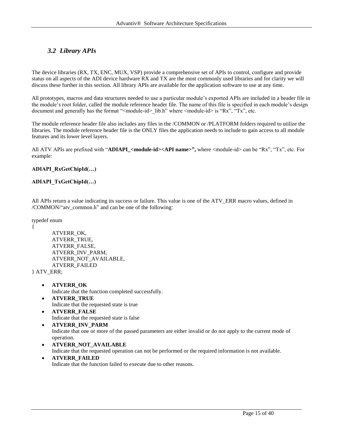# <span id="page-14-0"></span>*3.2 Library APIs*

The device libraries (RX, TX, ENC, MUX, VSP) provide a comprehensive set of APIs to control, configure and provide status on all aspects of the ADI device hardware RX and TX are the most commonly used libraries and for clarity we will discuss these further in this section. All library APIs are available for the application software to use at any time.

All prototypes, macros and data structures needed to use a particular module's exported APIs are included in a header file in the module's root folder, called the module reference header file. The name of this file is specified in each module's design document and generally has the format "<module-id>\_lib.h" where <module-id> is "Rx", "Tx", etc.

The module reference header file also includes any files in the /COMMON or /PLATFORM folders required to utilize the libraries. The module reference header file is the ONLY files the application needs to include to gain access to all module features and its lower level layers.

All ATV APIs are prefixed with "**ADIAPI\_<module-id><API name>",** where <module-id> can be "Rx", "Tx", etc. For example:

#### **ADIAPI\_RxGetChipId(…)**

#### **ADIAPI\_TxGetChipId(…)**

All APIs return a value indicating its success or failure. This value is one of the ATV\_ERR macro values, defined in /COMMON/"atv\_common.h" and can be one of the following:

typedef enum

{

```
ATVERR_OK,
ATVERR_TRUE,
ATVERR_FALSE,
ATVERR_INV_PARM,
ATVERR_NOT_AVAILABLE,
ATVERR_FAILED
```
} ATV\_ERR;

- **ATVERR\_OK** Indicate that the function completed successfully.
- **ATVERR\_TRUE** Indicate that the requested state is true
- **ATVERR\_FALSE** Indicate that the requested state is false
- **ATVERR\_INV\_PARM** Indicate that one or more of the passed parameters are either invalid or do not apply to the current mode of operation.
- **ATVERR\_NOT\_AVAILABLE**

Indicate that the requested operation can not be performed or the required information is not available.

 **ATVERR\_FAILED** Indicate that the function failed to execute due to other reasons.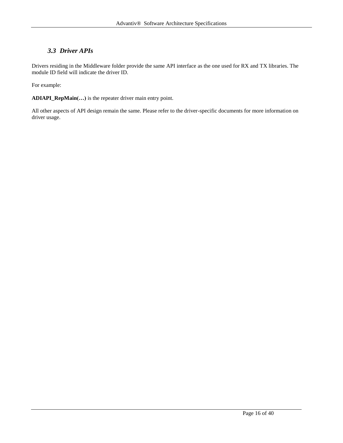# <span id="page-15-0"></span>*3.3 Driver APIs*

Drivers residing in the Middleware folder provide the same API interface as the one used for RX and TX libraries. The module ID field will indicate the driver ID.

For example:

**ADIAPI\_RepMain(…)** is the repeater driver main entry point.

All other aspects of API design remain the same. Please refer to the driver-specific documents for more information on driver usage.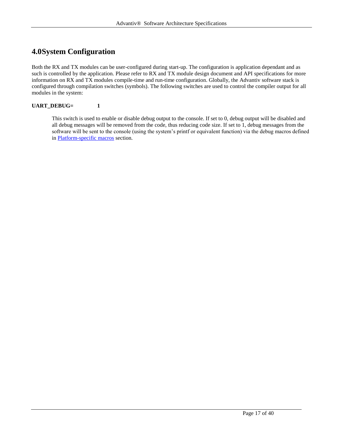# <span id="page-16-0"></span>**4.0System Configuration**

Both the RX and TX modules can be user-configured during start-up. The configuration is application dependant and as such is controlled by the application. Please refer to RX and TX module design document and API specifications for more information on RX and TX modules compile-time and run-time configuration. Globally, the Advantiv software stack is configured through compilation switches (symbols). The following switches are used to control the compiler output for all modules in the system:

#### **UART\_DEBUG= 1**

This switch is used to enable or disable debug output to the console. If set to 0, debug output will be disabled and all debug messages will be removed from the code, thus reducing code size. If set to 1, debug messages from the software will be sent to the console (using the system's printf or equivalent function) via the debug macros defined in [Platform-specific macros](#page-17-1) section.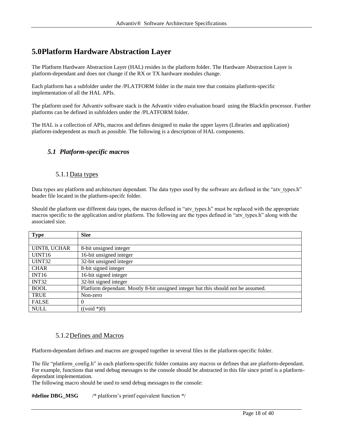# <span id="page-17-0"></span>**5.0Platform Hardware Abstraction Layer**

The Platform Hardware Abstraction Layer (HAL) resides in the platform folder. The Hardware Abstraction Layer is platform-dependant and does not change if the RX or TX hardware modules change.

Each platform has a subfolder under the /PLATFORM folder in the main tree that contains platform-specific implementation of all the HAL APIs.

The platform used for Advantiv software stack is the Advantiv video evaluation board using the Blackfin processor. Further platforms can be defined in subfolders under the /PLATFORM folder.

The HAL is a collection of APIs, macros and defines designed to make the upper layers (Libraries and application) platform-independent as much as possible. The following is a description of HAL components.

## <span id="page-17-1"></span>*5.1 Platform-specific macros*

#### 5.1.1 Data types

<span id="page-17-2"></span>Data types are platform and architecture dependant. The data types used by the software are defined in the "atv\_types.h" header file located in the platform-specifc folder.

Should the platform use different data types, the macros defined in "atv\_types.h" must be replaced with the appropriate macros specific to the application and/or platform. The following are the types defined in "atv\_types.h" along with the associated size.

| <b>Type</b>         | <b>Size</b>                                                                       |
|---------------------|-----------------------------------------------------------------------------------|
|                     |                                                                                   |
| <b>UINT8, UCHAR</b> | 8-bit unsigned integer                                                            |
| UINT <sub>16</sub>  | 16-bit unsigned integer                                                           |
| UINT32              | 32-bit unsigned integer                                                           |
| <b>CHAR</b>         | 8-bit signed integer                                                              |
| INT <sub>16</sub>   | 16-bit signed integer                                                             |
| INT32               | 32-bit signed integer                                                             |
| <b>BOOL</b>         | Platform dependant. Mostly 8-bit unsigned integer but this should not be assumed. |
| <b>TRUE</b>         | Non-zero                                                                          |
| <b>FALSE</b>        | $\theta$                                                                          |
| <b>NULL</b>         | $((\text{void }*)0)$                                                              |

#### 5.1.2Defines and Macros

<span id="page-17-3"></span>Platform-dependant defines and macros are grouped together in several files in the platform-specific folder.

The file "platform config.h" in each platform-specific folder contains any macros or defines that are platform-dependant. For example, functions that send debug messages to the console should be abstracted in this file since printf is a platformdependant implementation.

The following macro should be used to send debug messages to the console:

**#define DBG\_MSG** /\* platform's printf equivalent function \*/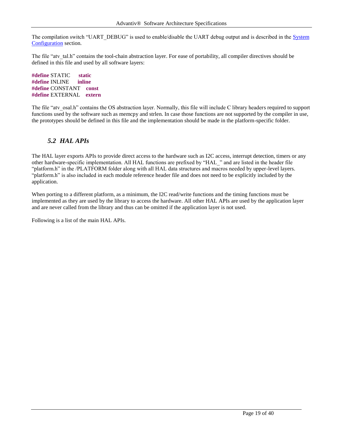The compilation switch "UART\_DEBUG" is used to enable/disable the UART debug output and is described in the System [Configuration](#page-16-0) section.

The file "atv\_tal.h" contains the tool-chain abstraction layer. For ease of portability, all compiler directives should be defined in this file and used by all software layers:

**#define** STATIC **static #define** INLINE **inline #define** CONSTANT **const #define** EXTERNAL **extern**

The file "atv\_osal.h" contains the OS abstraction layer. Normally, this file will include C library headers required to support functions used by the software such as memcpy and strlen. In case those functions are not supported by the compiler in use, the prototypes should be defined in this file and the implementation should be made in the platform-specific folder.

### <span id="page-18-0"></span>*5.2 HAL APIs*

The HAL layer exports APIs to provide direct access to the hardware such as I2C access, interrupt detection, timers or any other hardware-specific implementation. All HAL functions are prefixed by "HAL\_" and are listed in the header file "platform.h" in the /PLATFORM folder along with all HAL data structures and macros needed by upper-level layers. "platform.h" is also included in each module reference header file and does not need to be explicitly included by the application.

When porting to a different platform, as a minimum, the I2C read/write functions and the timing functions must be implemented as they are used by the library to access the hardware. All other HAL APIs are used by the application layer and are never called from the library and thus can be omitted if the application layer is not used.

Following is a list of the main HAL APIs.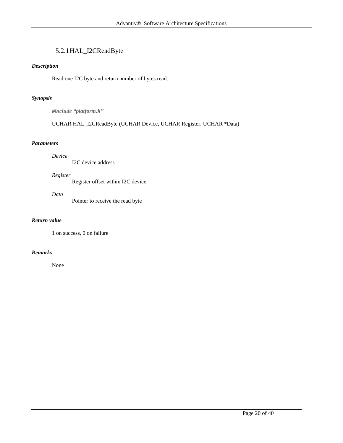# 5.2.1HAL\_I2CReadByte

#### <span id="page-19-0"></span>*Description*

Read one I2C byte and return number of bytes read.

#### *Synopsis*

*#include "platform.h"*

UCHAR HAL\_I2CReadByte (UCHAR Device, UCHAR Register, UCHAR \*Data)

#### *Parameters*

*Device*

|  | I2C device address |
|--|--------------------|
|  |                    |

#### *Register*

Register offset within I2C device

*Data*

Pointer to receive the read byte

#### *Return value*

1 on success, 0 on failure

#### *Remarks*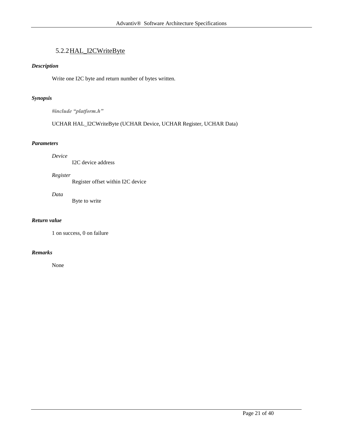# 5.2.2HAL\_I2CWriteByte

#### <span id="page-20-0"></span>*Description*

Write one I2C byte and return number of bytes written.

#### *Synopsis*

*#include "platform.h"*

UCHAR HAL\_I2CWriteByte (UCHAR Device, UCHAR Register, UCHAR Data)

#### *Parameters*

*Device*

I2C device address

#### *Register*

Register offset within I2C device

*Data*

Byte to write

#### *Return value*

1 on success, 0 on failure

#### *Remarks*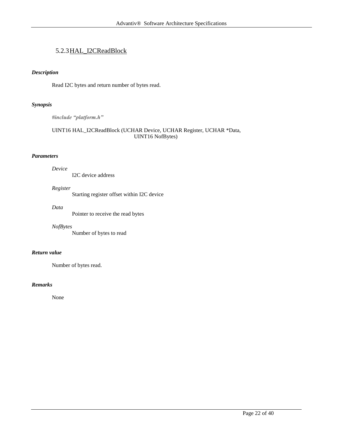# <span id="page-21-0"></span>5.2.3HAL\_I2CReadBlock

#### *Description*

Read I2C bytes and return number of bytes read.

#### *Synopsis*

*#include "platform.h"*

#### UINT16 HAL\_I2CReadBlock (UCHAR Device, UCHAR Register, UCHAR \*Data, UINT16 NofBytes)

#### *Parameters*

*Device*

I2C device address

#### *Register*

Starting register offset within I2C device

#### *Data*

Pointer to receive the read bytes

#### *NofBytes*

Number of bytes to read

#### *Return value*

Number of bytes read.

#### *Remarks*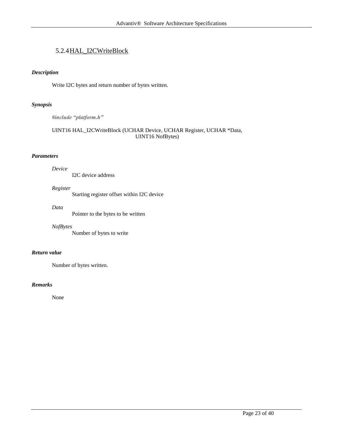# <span id="page-22-0"></span>5.2.4HAL\_I2CWriteBlock

#### *Description*

Write I2C bytes and return number of bytes written.

#### *Synopsis*

*#include "platform.h"*

#### UINT16 HAL\_I2CWriteBlock (UCHAR Device, UCHAR Register, UCHAR \*Data, UINT16 NofBytes)

#### *Parameters*

*Device*

I2C device address

#### *Register*

Starting register offset within I2C device

#### *Data*

Pointer to the bytes to be written

#### *NofBytes*

Number of bytes to write

#### *Return value*

Number of bytes written.

#### *Remarks*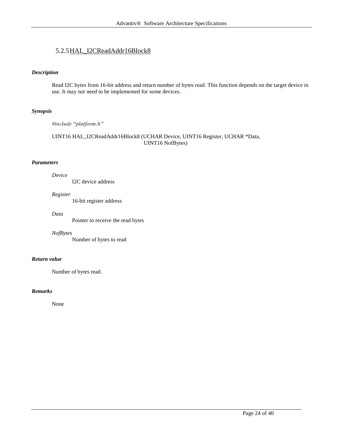# <span id="page-23-0"></span>5.2.5HAL\_I2CReadAddr16Block8

#### *Description*

Read I2C bytes from 16-bit address and return number of bytes read. This function depends on the target device in use. It may not need to be implemented for some devices.

#### *Synopsis*

*#include "platform.h"*

#### UINT16 HAL\_I2CReadAddr16Block8 (UCHAR Device, UINT16 Register, UCHAR \*Data, UINT16 NofBytes)

#### *Parameters*

#### *Device*

I2C device address

#### *Register*

16-bit register address

#### *Data*

Pointer to receive the read bytes

#### *NofBytes*

Number of bytes to read

#### *Return value*

Number of bytes read.

#### *Remarks*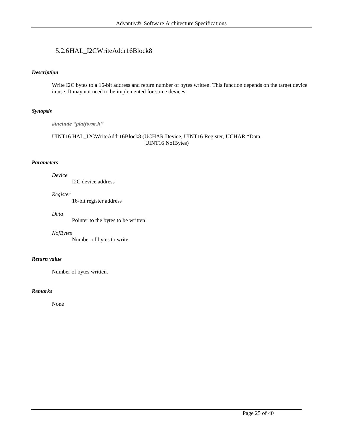# <span id="page-24-0"></span>5.2.6HAL\_I2CWriteAddr16Block8

#### *Description*

Write I2C bytes to a 16-bit address and return number of bytes written. This function depends on the target device in use. It may not need to be implemented for some devices.

#### *Synopsis*

*#include "platform.h"*

#### UINT16 HAL\_I2CWriteAddr16Block8 (UCHAR Device, UINT16 Register, UCHAR \*Data, UINT16 NofBytes)

#### *Parameters*

#### *Device*

I2C device address

#### *Register*

16-bit register address

#### *Data*

Pointer to the bytes to be written

#### *NofBytes*

Number of bytes to write

#### *Return value*

Number of bytes written.

#### *Remarks*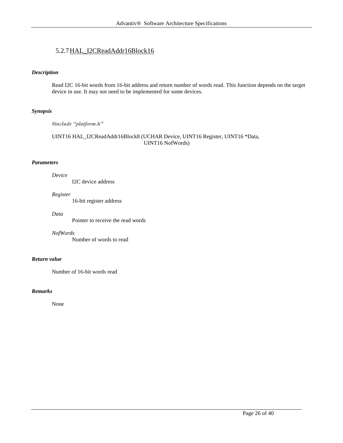# <span id="page-25-0"></span>5.2.7HAL\_I2CReadAddr16Block16

#### *Description*

Read I2C 16-bit words from 16-bit address and return number of words read. This function depends on the target device in use. It may not need to be implemented for some devices.

#### *Synopsis*

*#include "platform.h"*

#### UINT16 HAL\_I2CReadAddr16Block8 (UCHAR Device, UINT16 Register, UINT16 \*Data, UINT16 NofWords)

#### *Parameters*

#### *Device*

I2C device address

#### *Register*

16-bit register address

#### *Data*

Pointer to receive the read words

#### *NofWords*

Number of words to read

#### *Return value*

Number of 16-bit words read

#### *Remarks*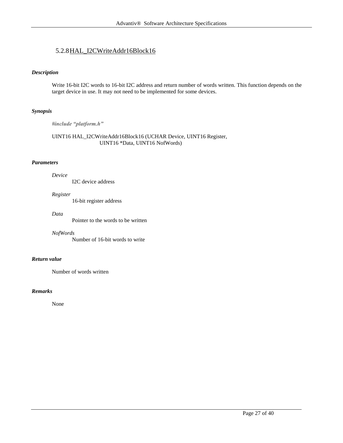# <span id="page-26-0"></span>5.2.8HAL\_I2CWriteAddr16Block16

#### *Description*

Write 16-bit I2C words to 16-bit I2C address and return number of words written. This function depends on the target device in use. It may not need to be implemented for some devices.

#### *Synopsis*

*#include "platform.h"*

#### UINT16 HAL\_I2CWriteAddr16Block16 (UCHAR Device, UINT16 Register, UINT16 \*Data, UINT16 NofWords)

#### *Parameters*

#### *Device*

I2C device address

#### *Register*

16-bit register address

#### *Data*

Pointer to the words to be written

#### *NofWords*

Number of 16-bit words to write

#### *Return value*

Number of words written

#### *Remarks*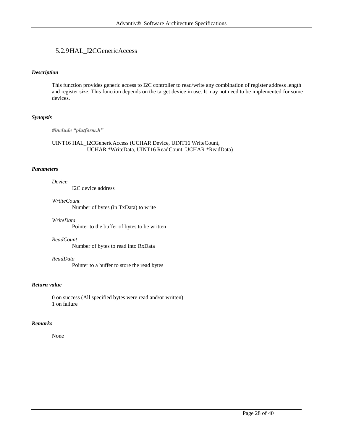### <span id="page-27-0"></span>5.2.9HAL\_I2CGenericAccess

#### *Description*

This function provides generic access to I2C controller to read/write any combination of register address length and register size. This function depends on the target device in use. It may not need to be implemented for some devices.

#### *Synopsis*

*#include "platform.h"*

UINT16 HAL\_I2CGenericAccess (UCHAR Device, UINT16 WriteCount, UCHAR \*WriteData, UINT16 ReadCount, UCHAR \*ReadData)

#### *Parameters*

*Device* I2C device address

*WrtiteCount*

Number of bytes (in TxData) to write

#### *WriteData*

Pointer to the buffer of bytes to be written

#### *ReadCount*

Number of bytes to read into RxData

#### *ReadData*

Pointer to a buffer to store the read bytes

#### *Return value*

0 on success (All specified bytes were read and/or written) 1 on failure

#### *Remarks*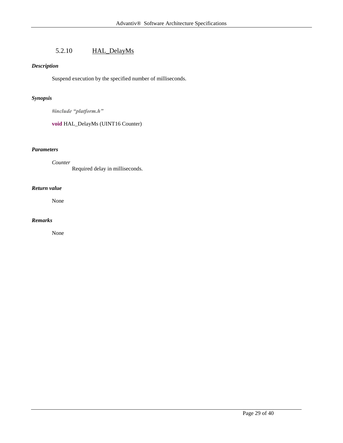# 5.2.10 HAL\_DelayMs

#### <span id="page-28-0"></span>*Description*

Suspend execution by the specified number of milliseconds.

#### *Synopsis*

*#include "platform.h"*

#### **void** HAL\_DelayMs (UINT16 Counter)

#### *Parameters*

*Counter* Required delay in milliseconds.

#### *Return value*

None

#### *Remarks*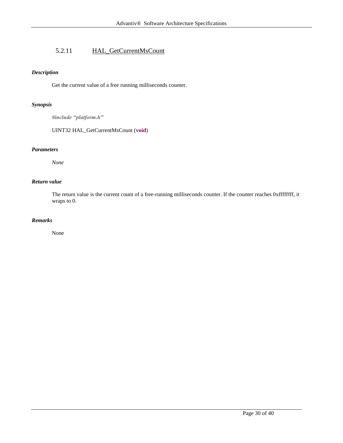# <span id="page-29-0"></span>5.2.11 HAL\_GetCurrentMsCount

#### *Description*

Get the current value of a free running milliseconds counter.

#### *Synopsis*

*#include "platform.h"*

UINT32 HAL\_GetCurrentMsCount (**void**)

#### *Parameters*

*None*

#### *Return value*

The return value is the current count of a free-running milliseconds counter. If the counter reaches 0xffffffff, it wraps to 0.

#### *Remarks*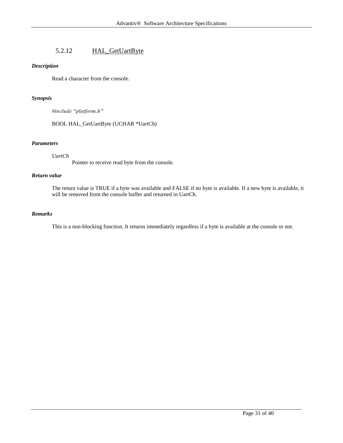# 5.2.12 HAL\_GetUartByte

#### <span id="page-30-0"></span>*Description*

Read a character from the console.

#### *Synopsis*

*#include "platform.h"*

BOOL HAL\_GetUartByte (UCHAR \*UartCh)

#### *Parameters*

#### *UartCh*

Pointer to receive read byte from the console.

#### *Return value*

The return value is TRUE if a byte was available and FALSE if no byte is available. If a new byte is available, it will be removed from the console buffer and returned in UartCh.

#### *Remarks*

This is a non-blocking function. It returns immediately regardless if a byte is available at the console or not.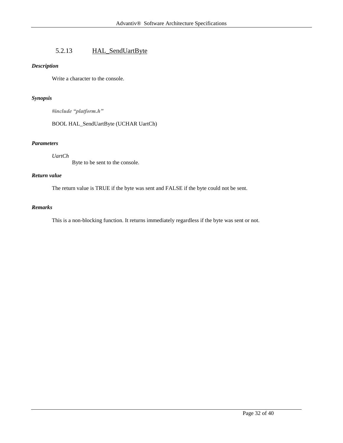# 5.2.13 HAL\_SendUartByte

#### <span id="page-31-0"></span>*Description*

Write a character to the console.

#### *Synopsis*

*#include "platform.h"*

BOOL HAL\_SendUartByte (UCHAR UartCh)

#### *Parameters*

*UartCh*

Byte to be sent to the console.

#### *Return value*

The return value is TRUE if the byte was sent and FALSE if the byte could not be sent.

#### *Remarks*

This is a non-blocking function. It returns immediately regardless if the byte was sent or not.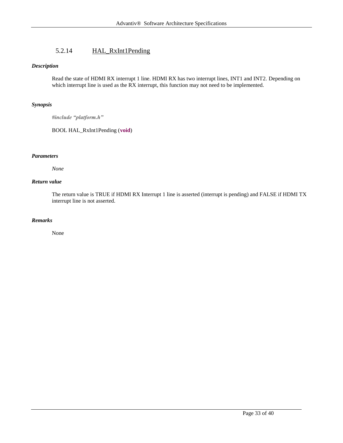# 5.2.14 HAL\_RxInt1Pending

#### <span id="page-32-0"></span>*Description*

Read the state of HDMI RX interrupt 1 line. HDMI RX has two interrupt lines, INT1 and INT2. Depending on which interrupt line is used as the RX interrupt, this function may not need to be implemented.

#### *Synopsis*

*#include "platform.h"*

BOOL HAL\_RxInt1Pending (**void**)

#### *Parameters*

*None*

#### *Return value*

The return value is TRUE if HDMI RX Interrupt 1 line is asserted (interrupt is pending) and FALSE if HDMI TX interrupt line is not asserted.

#### *Remarks*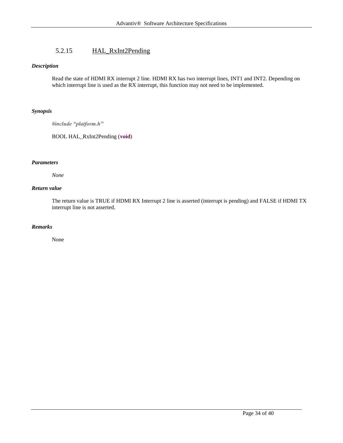# 5.2.15 HAL\_RxInt2Pending

#### <span id="page-33-0"></span>*Description*

Read the state of HDMI RX interrupt 2 line. HDMI RX has two interrupt lines, INT1 and INT2. Depending on which interrupt line is used as the RX interrupt, this function may not need to be implemented.

#### *Synopsis*

*#include "platform.h"*

BOOL HAL\_RxInt2Pending (**void**)

#### *Parameters*

*None*

#### *Return value*

The return value is TRUE if HDMI RX Interrupt 2 line is asserted (interrupt is pending) and FALSE if HDMI TX interrupt line is not asserted.

#### *Remarks*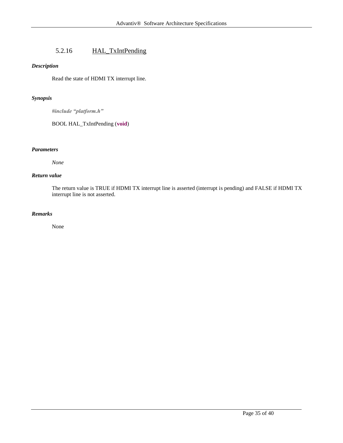# 5.2.16 HAL\_TxIntPending

#### <span id="page-34-0"></span>*Description*

Read the state of HDMI TX interrupt line.

#### *Synopsis*

*#include "platform.h"*

BOOL HAL\_TxIntPending (**void**)

#### *Parameters*

*None*

#### *Return value*

The return value is TRUE if HDMI TX interrupt line is asserted (interrupt is pending) and FALSE if HDMI TX interrupt line is not asserted.

#### *Remarks*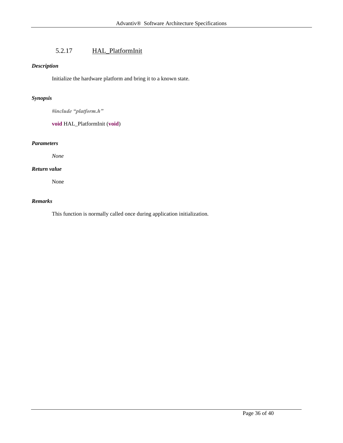# 5.2.17 HAL\_PlatformInit

#### <span id="page-35-0"></span>*Description*

Initialize the hardware platform and bring it to a known state.

#### *Synopsis*

*#include "platform.h"*

#### **void** HAL\_PlatformInit (**void**)

#### *Parameters*

*None*

#### *Return value*

None

#### *Remarks*

This function is normally called once during application initialization.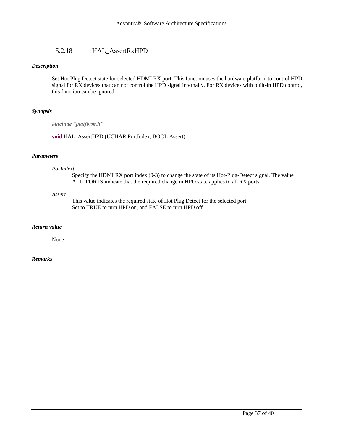# 5.2.18 HAL\_AssertRxHPD

#### <span id="page-36-0"></span>*Description*

Set Hot Plug Detect state for selected HDMI RX port. This function uses the hardware platform to control HPD signal for RX devices that can not control the HPD signal internally. For RX devices with built-in HPD control, this function can be ignored.

#### *Synopsis*

*#include "platform.h"*

**void** HAL\_AssertHPD (UCHAR PortIndex, BOOL Assert)

#### *Parameters*

#### *PorIndext*

Specify the HDMI RX port index (0-3) to change the state of its Hot-Plug-Detect signal. The value ALL\_PORTS indicate that the required change in HPD state applies to all RX ports.

#### *Assert*

This value indicates the required state of Hot Plug Detect for the selected port. Set to TRUE to turn HPD on, and FALSE to turn HPD off.

#### *Return value*

None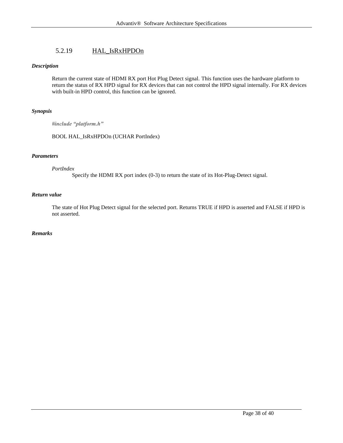# 5.2.19 HAL\_IsRxHPDOn

#### <span id="page-37-0"></span>*Description*

Return the current state of HDMI RX port Hot Plug Detect signal. This function uses the hardware platform to return the status of RX HPD signal for RX devices that can not control the HPD signal internally. For RX devices with built-in HPD control, this function can be ignored.

#### *Synopsis*

*#include "platform.h"*

BOOL HAL\_IsRxHPDOn (UCHAR PortIndex)

#### *Parameters*

#### *PortIndex*

Specify the HDMI RX port index (0-3) to return the state of its Hot-Plug-Detect signal.

#### *Return value*

The state of Hot Plug Detect signal for the selected port. Returns TRUE if HPD is asserted and FALSE if HPD is not asserted.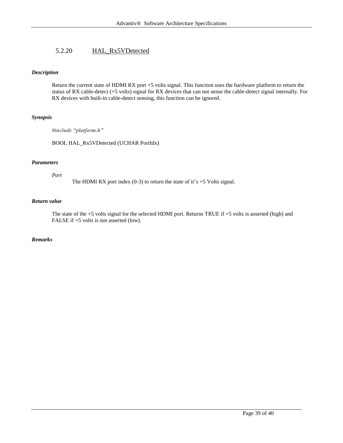## <span id="page-38-0"></span>5.2.20 HAL\_Rx5VDetected

#### *Description*

Return the current state of HDMI RX port +5 volts signal. This function uses the hardware platform to return the status of RX cable-detect (+5 volts) signal for RX devices that can not sense the cable-detect signal internally. For RX devices with built-in cable-detect sensing, this function can be ignored.

#### *Synopsis*

*#include "platform.h"*

BOOL HAL\_Rx5VDetected (UCHAR PortIdx)

#### *Parameters*

*Port*

The HDMI RX port index  $(0-3)$  to return the state of it's  $+5$  Volts signal.

#### *Return value*

The state of the +5 volts signal for the selected HDMI port. Returns TRUE if +5 volts is asserted (high) and FALSE if  $+5$  volts is not asserted (low).